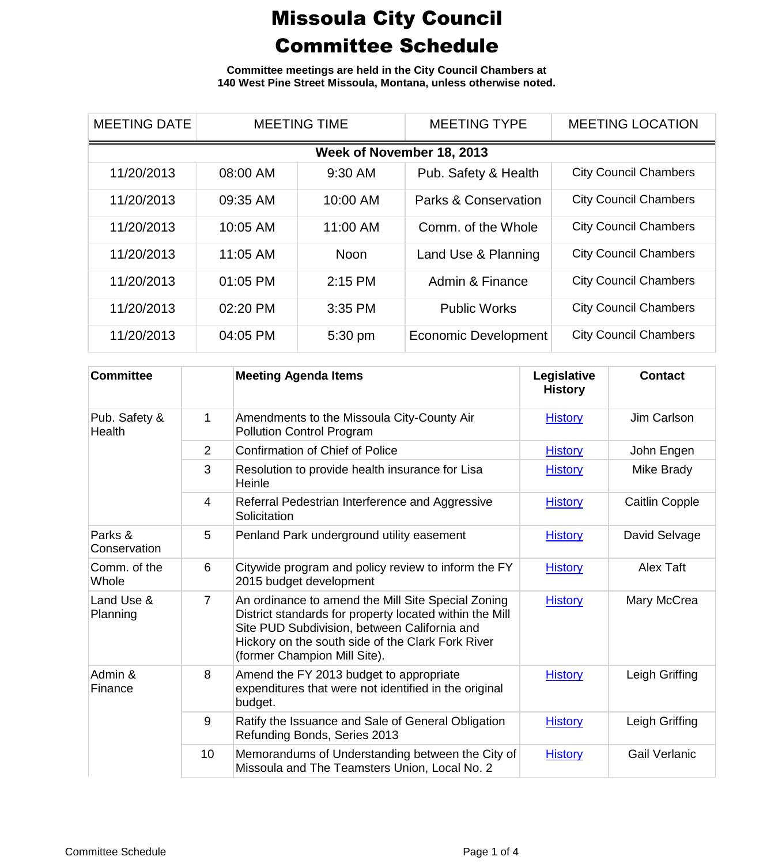**Committee meetings are held in the City Council Chambers at 140 West Pine Street Missoula, Montana, unless otherwise noted.**

| <b>MEETING DATE</b> | <b>MEETING TIME</b>       |             | <b>MEETING TYPE</b>             | <b>MEETING LOCATION</b>      |  |  |  |
|---------------------|---------------------------|-------------|---------------------------------|------------------------------|--|--|--|
|                     | Week of November 18, 2013 |             |                                 |                              |  |  |  |
| 11/20/2013          | 08:00 AM                  | 9:30 AM     | Pub. Safety & Health            | <b>City Council Chambers</b> |  |  |  |
| 11/20/2013          | 09:35 AM                  | 10:00 AM    | <b>Parks &amp; Conservation</b> | <b>City Council Chambers</b> |  |  |  |
| 11/20/2013          | 10:05 AM                  | 11:00 AM    | Comm. of the Whole              | <b>City Council Chambers</b> |  |  |  |
| 11/20/2013          | 11:05 AM                  | <b>Noon</b> | Land Use & Planning             | <b>City Council Chambers</b> |  |  |  |
| 11/20/2013          | 01:05 PM                  | $2:15$ PM   | Admin & Finance                 | <b>City Council Chambers</b> |  |  |  |
| 11/20/2013          | 02:20 PM                  | 3:35 PM     | <b>Public Works</b>             | <b>City Council Chambers</b> |  |  |  |
| 11/20/2013          | 04:05 PM                  | 5:30 pm     | <b>Economic Development</b>     | <b>City Council Chambers</b> |  |  |  |

| <b>Committee</b>        |                | <b>Meeting Agenda Items</b>                                                                                                                                                                                                                        | Legislative<br><b>History</b> | <b>Contact</b>        |
|-------------------------|----------------|----------------------------------------------------------------------------------------------------------------------------------------------------------------------------------------------------------------------------------------------------|-------------------------------|-----------------------|
| Pub. Safety &<br>Health | 1              | Amendments to the Missoula City-County Air<br><b>Pollution Control Program</b>                                                                                                                                                                     | <b>History</b>                | Jim Carlson           |
|                         | 2              | <b>Confirmation of Chief of Police</b>                                                                                                                                                                                                             | <b>History</b>                | John Engen            |
|                         | 3              | Resolution to provide health insurance for Lisa<br>Heinle                                                                                                                                                                                          | <b>History</b>                | Mike Brady            |
|                         | $\overline{4}$ | Referral Pedestrian Interference and Aggressive<br>Solicitation                                                                                                                                                                                    | <b>History</b>                | <b>Caitlin Copple</b> |
| Parks &<br>Conservation | 5              | Penland Park underground utility easement                                                                                                                                                                                                          | <b>History</b>                | David Selvage         |
| Comm. of the<br>Whole   | 6              | Citywide program and policy review to inform the FY<br>2015 budget development                                                                                                                                                                     | <b>History</b>                | <b>Alex Taft</b>      |
| Land Use &<br>Planning  | $\overline{7}$ | An ordinance to amend the Mill Site Special Zoning<br>District standards for property located within the Mill<br>Site PUD Subdivision, between California and<br>Hickory on the south side of the Clark Fork River<br>(former Champion Mill Site). | <b>History</b>                | Mary McCrea           |
| Admin &<br>Finance      | 8              | Amend the FY 2013 budget to appropriate<br>expenditures that were not identified in the original<br>budget.                                                                                                                                        | <b>History</b>                | Leigh Griffing        |
|                         | 9              | Ratify the Issuance and Sale of General Obligation<br>Refunding Bonds, Series 2013                                                                                                                                                                 | <b>History</b>                | Leigh Griffing        |
|                         | 10             | Memorandums of Understanding between the City of<br>Missoula and The Teamsters Union, Local No. 2                                                                                                                                                  | <b>History</b>                | <b>Gail Verlanic</b>  |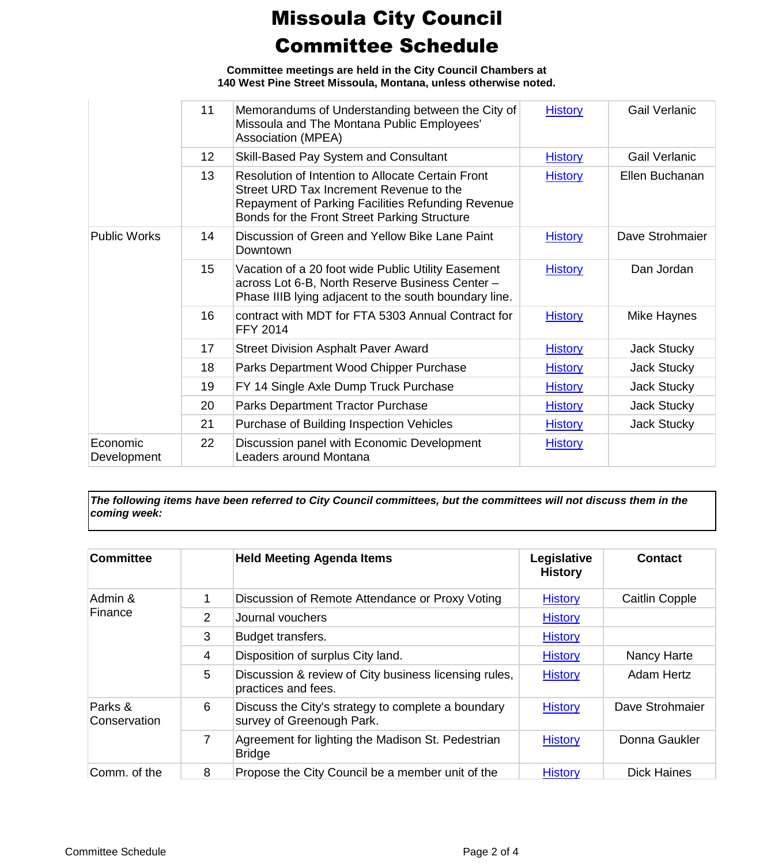**Committee meetings are held in the City Council Chambers at 140 West Pine Street Missoula, Montana, unless otherwise noted.**

|                         | 11              | Memorandums of Understanding between the City of<br>Missoula and The Montana Public Employees'<br>Association (MPEA)                                                                                     | <b>History</b> | Gail Verlanic        |
|-------------------------|-----------------|----------------------------------------------------------------------------------------------------------------------------------------------------------------------------------------------------------|----------------|----------------------|
|                         | 12 <sup>2</sup> | Skill-Based Pay System and Consultant                                                                                                                                                                    | <b>History</b> | <b>Gail Verlanic</b> |
|                         | 13              | <b>Resolution of Intention to Allocate Certain Front</b><br>Street URD Tax Increment Revenue to the<br>Repayment of Parking Facilities Refunding Revenue<br>Bonds for the Front Street Parking Structure | <b>History</b> | Ellen Buchanan       |
| <b>Public Works</b>     | 14              | Discussion of Green and Yellow Bike Lane Paint<br>Downtown                                                                                                                                               | <b>History</b> | Dave Strohmaier      |
|                         | 15              | Vacation of a 20 foot wide Public Utility Easement<br>across Lot 6-B, North Reserve Business Center -<br>Phase IIIB lying adjacent to the south boundary line.                                           | <b>History</b> | Dan Jordan           |
|                         | 16              | contract with MDT for FTA 5303 Annual Contract for<br><b>FFY 2014</b>                                                                                                                                    | <b>History</b> | Mike Haynes          |
|                         | 17              | <b>Street Division Asphalt Paver Award</b>                                                                                                                                                               | <b>History</b> | Jack Stucky          |
|                         | 18              | Parks Department Wood Chipper Purchase                                                                                                                                                                   | <b>History</b> | Jack Stucky          |
|                         | 19              | FY 14 Single Axle Dump Truck Purchase                                                                                                                                                                    | <b>History</b> | Jack Stucky          |
|                         | 20              | Parks Department Tractor Purchase                                                                                                                                                                        | <b>History</b> | Jack Stucky          |
|                         | 21              | Purchase of Building Inspection Vehicles                                                                                                                                                                 | <b>History</b> | Jack Stucky          |
| Economic<br>Development | 22              | Discussion panel with Economic Development<br>Leaders around Montana                                                                                                                                     | <b>History</b> |                      |

*The following items have been referred to City Council committees, but the committees will not discuss them in the coming week:*

| <b>Committee</b>        |   | <b>Held Meeting Agenda Items</b>                                                | Legislative<br><b>History</b> | <b>Contact</b>        |
|-------------------------|---|---------------------------------------------------------------------------------|-------------------------------|-----------------------|
| Admin &<br>Finance      | 1 | Discussion of Remote Attendance or Proxy Voting                                 | <b>History</b>                | <b>Caitlin Copple</b> |
|                         | 2 | Journal vouchers                                                                | <b>History</b>                |                       |
|                         | 3 | Budget transfers.                                                               | <b>History</b>                |                       |
|                         | 4 | Disposition of surplus City land.                                               | <b>History</b>                | Nancy Harte           |
|                         | 5 | Discussion & review of City business licensing rules,<br>practices and fees.    | <b>History</b>                | <b>Adam Hertz</b>     |
| Parks &<br>Conservation | 6 | Discuss the City's strategy to complete a boundary<br>survey of Greenough Park. | <b>History</b>                | Dave Strohmaier       |
|                         | 7 | Agreement for lighting the Madison St. Pedestrian<br><b>Bridge</b>              | <b>History</b>                | Donna Gaukler         |
| Comm. of the            | 8 | Propose the City Council be a member unit of the                                | <b>History</b>                | <b>Dick Haines</b>    |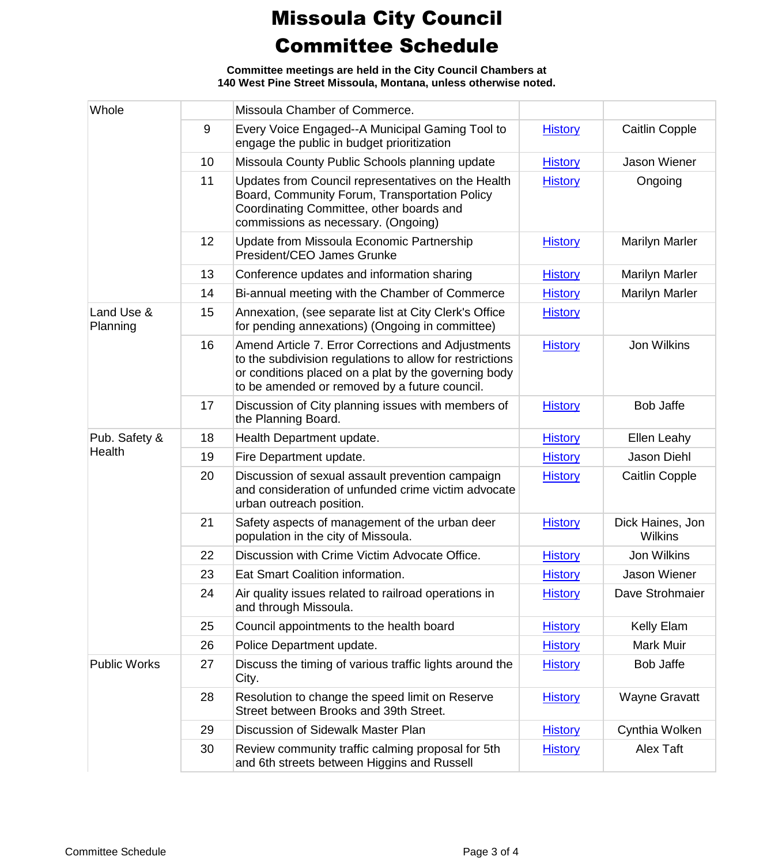**Committee meetings are held in the City Council Chambers at 140 West Pine Street Missoula, Montana, unless otherwise noted.**

| Whole                  |    | Missoula Chamber of Commerce.                                                                                                                                                                                           |                |                                    |
|------------------------|----|-------------------------------------------------------------------------------------------------------------------------------------------------------------------------------------------------------------------------|----------------|------------------------------------|
|                        | 9  | Every Voice Engaged--A Municipal Gaming Tool to<br>engage the public in budget prioritization                                                                                                                           | <b>History</b> | Caitlin Copple                     |
|                        | 10 | Missoula County Public Schools planning update                                                                                                                                                                          | <b>History</b> | Jason Wiener                       |
|                        | 11 | Updates from Council representatives on the Health<br>Board, Community Forum, Transportation Policy<br>Coordinating Committee, other boards and<br>commissions as necessary. (Ongoing)                                  | <b>History</b> | Ongoing                            |
|                        | 12 | Update from Missoula Economic Partnership<br>President/CEO James Grunke                                                                                                                                                 | <b>History</b> | <b>Marilyn Marler</b>              |
|                        | 13 | Conference updates and information sharing                                                                                                                                                                              | <b>History</b> | <b>Marilyn Marler</b>              |
|                        | 14 | Bi-annual meeting with the Chamber of Commerce                                                                                                                                                                          | <b>History</b> | Marilyn Marler                     |
| Land Use &<br>Planning | 15 | Annexation, (see separate list at City Clerk's Office<br>for pending annexations) (Ongoing in committee)                                                                                                                | <b>History</b> |                                    |
|                        | 16 | Amend Article 7. Error Corrections and Adjustments<br>to the subdivision regulations to allow for restrictions<br>or conditions placed on a plat by the governing body<br>to be amended or removed by a future council. | <b>History</b> | Jon Wilkins                        |
|                        | 17 | Discussion of City planning issues with members of<br>the Planning Board.                                                                                                                                               | <b>History</b> | <b>Bob Jaffe</b>                   |
| Pub. Safety &          | 18 | Health Department update.                                                                                                                                                                                               | <b>History</b> | Ellen Leahy                        |
| Health                 | 19 | Fire Department update.                                                                                                                                                                                                 | <b>History</b> | Jason Diehl                        |
|                        | 20 | Discussion of sexual assault prevention campaign<br>and consideration of unfunded crime victim advocate<br>urban outreach position.                                                                                     | <b>History</b> | Caitlin Copple                     |
|                        | 21 | Safety aspects of management of the urban deer<br>population in the city of Missoula.                                                                                                                                   | <b>History</b> | Dick Haines, Jon<br><b>Wilkins</b> |
|                        | 22 | Discussion with Crime Victim Advocate Office.                                                                                                                                                                           | <b>History</b> | Jon Wilkins                        |
|                        | 23 | Eat Smart Coalition information.                                                                                                                                                                                        | <b>History</b> | Jason Wiener                       |
|                        | 24 | Air quality issues related to railroad operations in<br>and through Missoula.                                                                                                                                           | <b>History</b> | Dave Strohmaier                    |
|                        | 25 | Council appointments to the health board                                                                                                                                                                                | <b>History</b> | Kelly Elam                         |
|                        | 26 | Police Department update.                                                                                                                                                                                               | <b>History</b> | Mark Muir                          |
| <b>Public Works</b>    | 27 | Discuss the timing of various traffic lights around the<br>City.                                                                                                                                                        | <b>History</b> | <b>Bob Jaffe</b>                   |
|                        | 28 | Resolution to change the speed limit on Reserve<br>Street between Brooks and 39th Street.                                                                                                                               | <b>History</b> | <b>Wayne Gravatt</b>               |
|                        | 29 | Discussion of Sidewalk Master Plan                                                                                                                                                                                      | <b>History</b> | Cynthia Wolken                     |
|                        | 30 | Review community traffic calming proposal for 5th<br>and 6th streets between Higgins and Russell                                                                                                                        | <b>History</b> | Alex Taft                          |